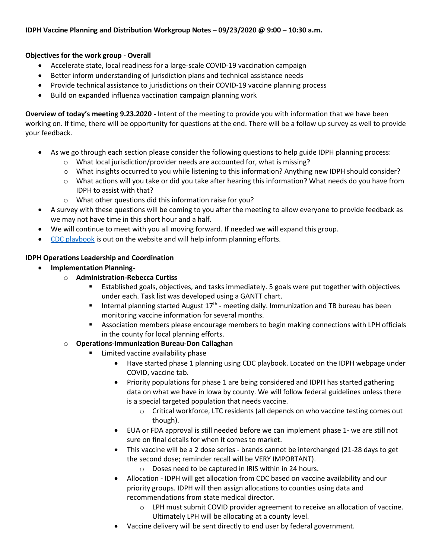#### **Objectives for the work group - Overall**

- Accelerate state, local readiness for a large-scale COVID-19 vaccination campaign
- Better inform understanding of jurisdiction plans and technical assistance needs
- Provide technical assistance to jurisdictions on their COVID-19 vaccine planning process
- Build on expanded influenza vaccination campaign planning work

**Overview of today's meeting 9.23.2020 -** Intent of the meeting to provide you with information that we have been working on. If time, there will be opportunity for questions at the end. There will be a follow up survey as well to provide your feedback.

- As we go through each section please consider the following questions to help guide IDPH planning process:
	- o What local jurisdiction/provider needs are accounted for, what is missing?
	- o What insights occurred to you while listening to this information? Anything new IDPH should consider?
	- $\circ$  What actions will you take or did you take after hearing this information? What needs do you have from IDPH to assist with that?
	- o What other questions did this information raise for you?
- A survey with these questions will be coming to you after the meeting to allow everyone to provide feedback as we may not have time in this short hour and a half.
- We will continue to meet with you all moving forward. If needed we will expand this group.
- [CDC playbook](https://www.cdc.gov/vaccines/imz-managers/downloads/COVID-19-Vaccination-Program-Interim_Playbook.pdf) is out on the website and will help inform planning efforts.

### **IDPH Operations Leadership and Coordination**

- **Implementation Planning**
	- o **Administration-Rebecca Curtiss**
		- Established goals, objectives, and tasks immediately. 5 goals were put together with objectives under each. Task list was developed using a GANTT chart.
		- **IFM** Internal planning started August  $17<sup>th</sup>$  meeting daily. Immunization and TB bureau has been monitoring vaccine information for several months.
		- **Association members please encourage members to begin making connections with LPH officials** in the county for local planning efforts.

### o **Operations-Immunization Bureau-Don Callaghan**

- Limited vaccine availability phase
	- Have started phase 1 planning using CDC playbook. Located on the IDPH webpage under COVID, vaccine tab.
	- Priority populations for phase 1 are being considered and IDPH has started gathering data on what we have in Iowa by county. We will follow federal guidelines unless there is a special targeted population that needs vaccine.
		- o Critical workforce, LTC residents (all depends on who vaccine testing comes out though).
	- EUA or FDA approval is still needed before we can implement phase 1- we are still not sure on final details for when it comes to market.
	- This vaccine will be a 2 dose series brands cannot be interchanged (21-28 days to get the second dose; reminder recall will be VERY IMPORTANT).
		- o Doses need to be captured in IRIS within in 24 hours.
	- Allocation IDPH will get allocation from CDC based on vaccine availability and our priority groups. IDPH will then assign allocations to counties using data and recommendations from state medical director.
		- $\circ$  LPH must submit COVID provider agreement to receive an allocation of vaccine. Ultimately LPH will be allocating at a county level.
	- Vaccine delivery will be sent directly to end user by federal government.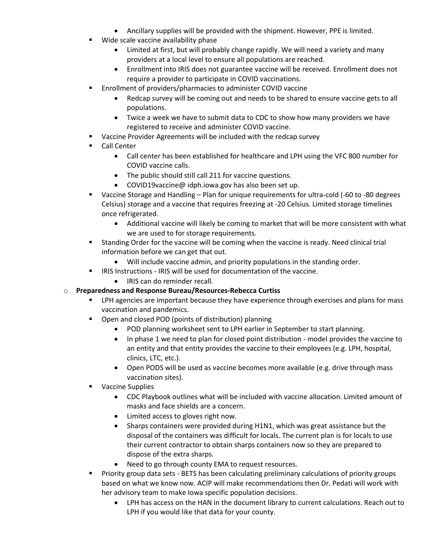- Ancillary supplies will be provided with the shipment. However, PPE is limited.
- Wide scale vaccine availability phase
	- Limited at first, but will probably change rapidly. We will need a variety and many providers at a local level to ensure all populations are reached.
	- Enrollment into IRIS does not guarantee vaccine will be received. Enrollment does not require a provider to participate in COVID vaccinations.
- Enrollment of providers/pharmacies to administer COVID vaccine
	- Redcap survey will be coming out and needs to be shared to ensure vaccine gets to all populations.
	- Twice a week we have to submit data to CDC to show how many providers we have registered to receive and administer COVID vaccine.
- Vaccine Provider Agreements will be included with the redcap survey
- Call Center
	- Call center has been established for healthcare and LPH using the VFC 800 number for COVID vaccine calls.
	- The public should still call 211 for vaccine questions.
	- COVID19vaccine@ idph.iowa.gov has also been set up.
- Vaccine Storage and Handling Plan for unique requirements for ultra-cold (-60 to -80 degrees Celsius) storage and a vaccine that requires freezing at -20 Celsius. Limited storage timelines once refrigerated.
	- Additional vaccine will likely be coming to market that will be more consistent with what we are used to for storage requirements.
- Standing Order for the vaccine will be coming when the vaccine is ready. Need clinical trial information before we can get that out.
	- Will include vaccine admin, and priority populations in the standing order.
- **IRIS Instructions IRIS will be used for documentation of the vaccine.** 
	- IRIS can do reminder recall.

#### o **Preparedness and Response Bureau/Resources-Rebecca Curtiss**

- LPH agencies are important because they have experience through exercises and plans for mass vaccination and pandemics.
- **•** Open and closed POD (points of distribution) planning
	- POD planning worksheet sent to LPH earlier in September to start planning.
	- In phase 1 we need to plan for closed point distribution model provides the vaccine to an entity and that entity provides the vaccine to their employees (e.g. LPH, hospital, clinics, LTC, etc.).
	- Open PODS will be used as vaccine becomes more available (e.g. drive through mass vaccination sites).
- **Vaccine Supplies** 
	- CDC Playbook outlines what will be included with vaccine allocation. Limited amount of masks and face shields are a concern.
	- Limited access to gloves right now.
	- Sharps containers were provided during H1N1, which was great assistance but the disposal of the containers was difficult for locals. The current plan is for locals to use their current contractor to obtain sharps containers now so they are prepared to dispose of the extra sharps.
	- Need to go through county EMA to request resources.
- **Priority group data sets BETS has been calculating preliminary calculations of priority groups** based on what we know now. ACIP will make recommendations then Dr. Pedati will work with her advisory team to make Iowa specific population decisions.
	- LPH has access on the HAN in the document library to current calculations. Reach out to LPH if you would like that data for your county.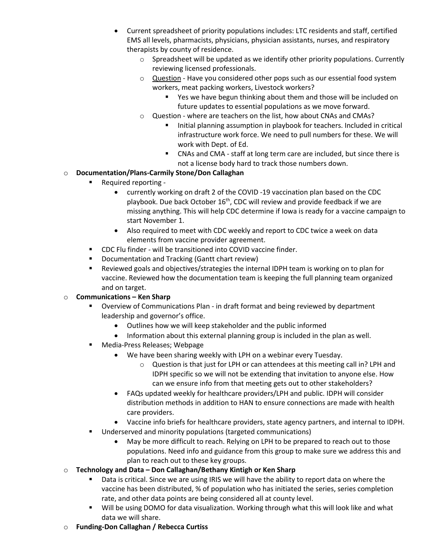- Current spreadsheet of priority populations includes: LTC residents and staff, certified EMS all levels, pharmacists, physicians, physician assistants, nurses, and respiratory therapists by county of residence.
	- $\circ$  Spreadsheet will be updated as we identify other priority populations. Currently reviewing licensed professionals.
	- o Question Have you considered other pops such as our essential food system workers, meat packing workers, Livestock workers?
		- Yes we have begun thinking about them and those will be included on future updates to essential populations as we move forward.
	- o Question where are teachers on the list, how about CNAs and CMAs?
		- Initial planning assumption in playbook for teachers. Included in critical infrastructure work force. We need to pull numbers for these. We will work with Dept. of Ed.
		- CNAs and CMA staff at long term care are included, but since there is not a license body hard to track those numbers down.

### o **Documentation/Plans-Carmily Stone/Don Callaghan**

- Required reporting
	- currently working on draft 2 of the COVID -19 vaccination plan based on the CDC playbook. Due back October  $16<sup>th</sup>$ , CDC will review and provide feedback if we are missing anything. This will help CDC determine if Iowa is ready for a vaccine campaign to start November 1.
	- Also required to meet with CDC weekly and report to CDC twice a week on data elements from vaccine provider agreement.
- CDC Flu finder will be transitioned into COVID vaccine finder.
- **Documentation and Tracking (Gantt chart review)**
- Reviewed goals and objectives/strategies the internal IDPH team is working on to plan for vaccine. Reviewed how the documentation team is keeping the full planning team organized and on target.

#### o **Communications – Ken Sharp**

- Overview of Communications Plan in draft format and being reviewed by department leadership and governor's office.
	- Outlines how we will keep stakeholder and the public informed
	- Information about this external planning group is included in the plan as well.
- **Media-Press Releases; Webpage** 
	- We have been sharing weekly with LPH on a webinar every Tuesday.
		- o Question is that just for LPH or can attendees at this meeting call in? LPH and IDPH specific so we will not be extending that invitation to anyone else. How can we ensure info from that meeting gets out to other stakeholders?
	- FAQs updated weekly for healthcare providers/LPH and public. IDPH will consider distribution methods in addition to HAN to ensure connections are made with health care providers.
	- Vaccine info briefs for healthcare providers, state agency partners, and internal to IDPH.
- Underserved and minority populations (targeted communications)
	- May be more difficult to reach. Relying on LPH to be prepared to reach out to those populations. Need info and guidance from this group to make sure we address this and plan to reach out to these key groups.
- o **Technology and Data – Don Callaghan/Bethany Kintigh or Ken Sharp**
	- **Data is critical. Since we are using IRIS we will have the ability to report data on where the** vaccine has been distributed, % of population who has initiated the series, series completion rate, and other data points are being considered all at county level.
	- Will be using DOMO for data visualization. Working through what this will look like and what data we will share.
- o **Funding-Don Callaghan / Rebecca Curtiss**